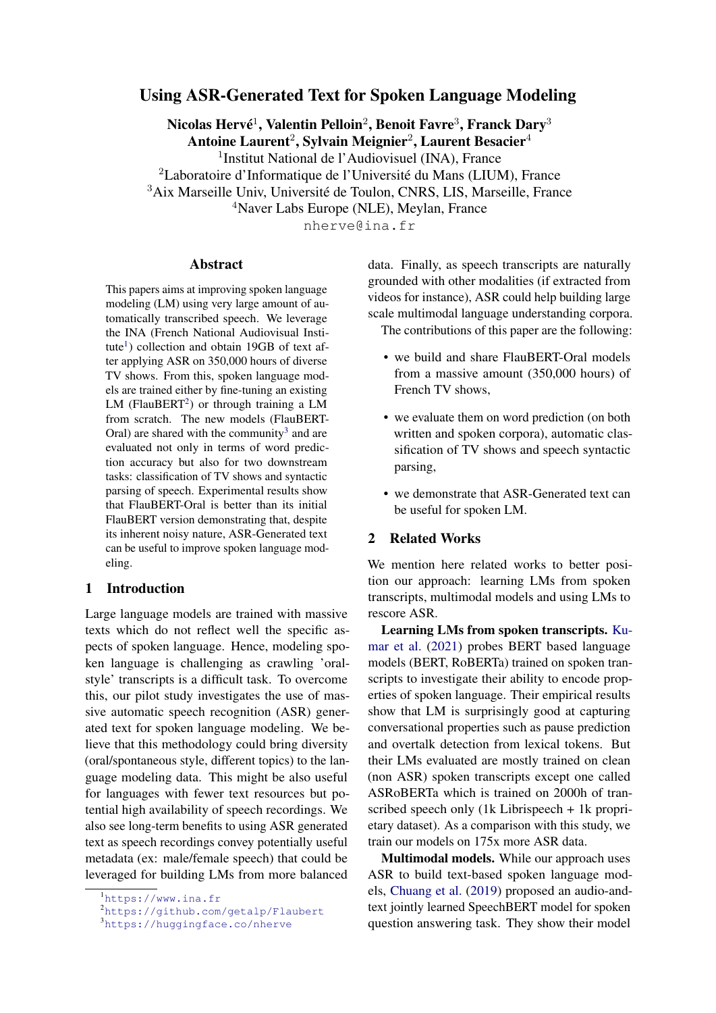# Using ASR-Generated Text for Spoken Language Modeling

Nicolas Hervé $^1$ , Valentin Pelloin $^2$ , Benoit Favre $^3$ , Franck Dary $^3$ 

Antoine Laurent $^2$ , Sylvain Meignier $^2$ , Laurent Besacier $^4$ 

<sup>1</sup>Institut National de l'Audiovisuel (INA), France

<sup>2</sup>Laboratoire d'Informatique de l'Université du Mans (LIUM), France

<sup>3</sup>Aix Marseille Univ, Université de Toulon, CNRS, LIS, Marseille, France

<sup>4</sup>Naver Labs Europe (NLE), Meylan, France

nherve@ina.fr

#### Abstract

This papers aims at improving spoken language modeling (LM) using very large amount of automatically transcribed speech. We leverage the INA (French National Audiovisual Insti-tute<sup>[1](#page-0-0)</sup>) collection and obtain 19GB of text after applying ASR on 350,000 hours of diverse TV shows. From this, spoken language models are trained either by fine-tuning an existing LM (FlauBERT<sup>[2](#page-0-1)</sup>) or through training a LM from scratch. The new models (FlauBERT-Oral) are shared with the community<sup>[3](#page-0-2)</sup> and are evaluated not only in terms of word prediction accuracy but also for two downstream tasks: classification of TV shows and syntactic parsing of speech. Experimental results show that FlauBERT-Oral is better than its initial FlauBERT version demonstrating that, despite its inherent noisy nature, ASR-Generated text can be useful to improve spoken language modeling.

# 1 Introduction

Large language models are trained with massive texts which do not reflect well the specific aspects of spoken language. Hence, modeling spoken language is challenging as crawling 'oralstyle' transcripts is a difficult task. To overcome this, our pilot study investigates the use of massive automatic speech recognition (ASR) generated text for spoken language modeling. We believe that this methodology could bring diversity (oral/spontaneous style, different topics) to the language modeling data. This might be also useful for languages with fewer text resources but potential high availability of speech recordings. We also see long-term benefits to using ASR generated text as speech recordings convey potentially useful metadata (ex: male/female speech) that could be leveraged for building LMs from more balanced

data. Finally, as speech transcripts are naturally grounded with other modalities (if extracted from videos for instance), ASR could help building large scale multimodal language understanding corpora.

The contributions of this paper are the following:

- we build and share FlauBERT-Oral models from a massive amount (350,000 hours) of French TV shows,
- we evaluate them on word prediction (on both written and spoken corpora), automatic classification of TV shows and speech syntactic parsing,
- we demonstrate that ASR-Generated text can be useful for spoken LM.

# 2 Related Works

We mention here related works to better position our approach: learning LMs from spoken transcripts, multimodal models and using LMs to rescore ASR.

Learning LMs from spoken transcripts. [Ku](#page-8-0)[mar et al.](#page-8-0) [\(2021\)](#page-8-0) probes BERT based language models (BERT, RoBERTa) trained on spoken transcripts to investigate their ability to encode properties of spoken language. Their empirical results show that LM is surprisingly good at capturing conversational properties such as pause prediction and overtalk detection from lexical tokens. But their LMs evaluated are mostly trained on clean (non ASR) spoken transcripts except one called ASRoBERTa which is trained on 2000h of transcribed speech only (1k Librispeech + 1k proprietary dataset). As a comparison with this study, we train our models on 175x more ASR data.

Multimodal models. While our approach uses ASR to build text-based spoken language models, [Chuang et al.](#page-8-1) [\(2019\)](#page-8-1) proposed an audio-andtext jointly learned SpeechBERT model for spoken question answering task. They show their model

<span id="page-0-0"></span><sup>&</sup>lt;sup>1</sup><https://www.ina.fr>

<span id="page-0-1"></span><sup>2</sup><https://github.com/getalp/Flaubert>

<span id="page-0-2"></span><sup>3</sup><https://huggingface.co/nherve>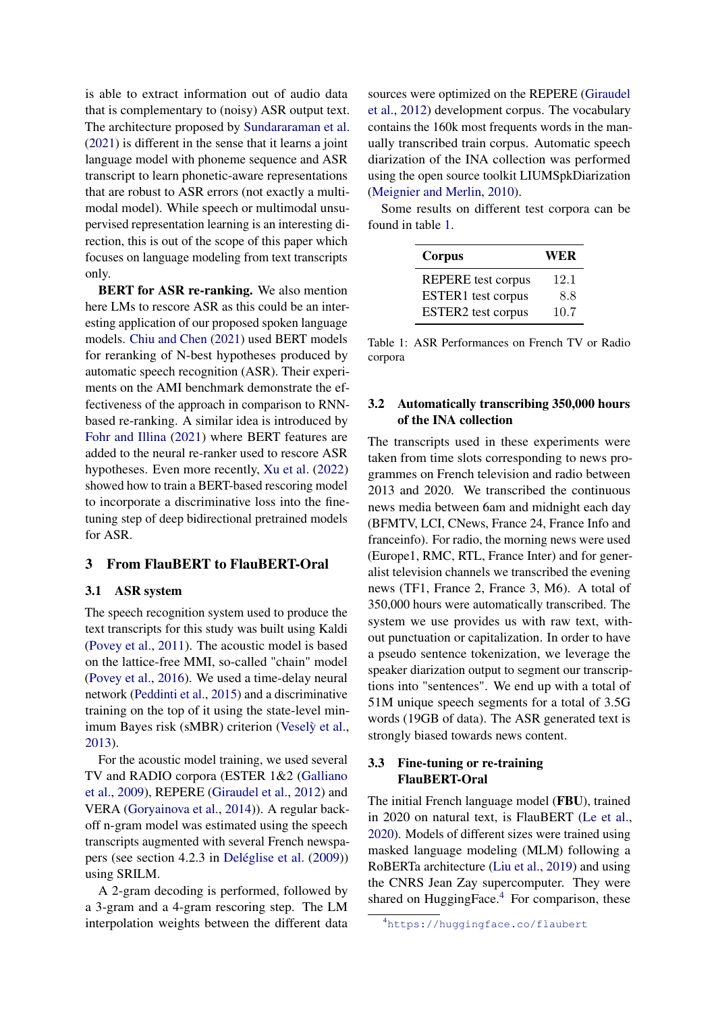is able to extract information out of audio data that is complementary to (noisy) ASR output text. The architecture proposed by [Sundararaman et al.](#page-8-2) [\(2021\)](#page-8-2) is different in the sense that it learns a joint language model with phoneme sequence and ASR transcript to learn phonetic-aware representations that are robust to ASR errors (not exactly a multimodal model). While speech or multimodal unsupervised representation learning is an interesting direction, this is out of the scope of this paper which focuses on language modeling from text transcripts only.

BERT for ASR re-ranking. We also mention here LMs to rescore ASR as this could be an interesting application of our proposed spoken language models. [Chiu and Chen](#page-8-3) [\(2021\)](#page-8-3) used BERT models for reranking of N-best hypotheses produced by automatic speech recognition (ASR). Their experiments on the AMI benchmark demonstrate the effectiveness of the approach in comparison to RNNbased re-ranking. A similar idea is introduced by [Fohr and Illina](#page-8-4) [\(2021\)](#page-8-4) where BERT features are added to the neural re-ranker used to rescore ASR hypotheses. Even more recently, [Xu et al.](#page-8-5) [\(2022\)](#page-8-5) showed how to train a BERT-based rescoring model to incorporate a discriminative loss into the finetuning step of deep bidirectional pretrained models for ASR.

# 3 From FlauBERT to FlauBERT-Oral

#### 3.1 ASR system

The speech recognition system used to produce the text transcripts for this study was built using Kaldi [\(Povey et al.,](#page-8-6) [2011\)](#page-8-6). The acoustic model is based on the lattice-free MMI, so-called "chain" model [\(Povey et al.,](#page-8-7) [2016\)](#page-8-7). We used a time-delay neural network [\(Peddinti et al.,](#page-8-8) [2015\)](#page-8-8) and a discriminative training on the top of it using the state-level min-imum Bayes risk (sMBR) criterion [\(Vesely et al.](#page-8-9), [2013\)](#page-8-9).

For the acoustic model training, we used several TV and RADIO corpora (ESTER 1&2 [\(Galliano](#page-8-10) [et al.,](#page-8-10) [2009\)](#page-8-10), REPERE [\(Giraudel et al.,](#page-8-11) [2012\)](#page-8-11) and VERA [\(Goryainova et al.,](#page-8-12) [2014\)](#page-8-12)). A regular backoff n-gram model was estimated using the speech transcripts augmented with several French newspapers (see section 4.2.3 in [Deléglise et al.](#page-8-13) [\(2009\)](#page-8-13)) using SRILM.

A 2-gram decoding is performed, followed by a 3-gram and a 4-gram rescoring step. The LM interpolation weights between the different data sources were optimized on the REPERE [\(Giraudel](#page-8-11) [et al.,](#page-8-11) [2012\)](#page-8-11) development corpus. The vocabulary contains the 160k most frequents words in the manually transcribed train corpus. Automatic speech diarization of the INA collection was performed using the open source toolkit LIUMSpkDiarization [\(Meignier and Merlin,](#page-8-14) [2010\)](#page-8-14).

<span id="page-1-0"></span>Some results on different test corpora can be found in table [1.](#page-1-0)

| Corpus                    | WER  |
|---------------------------|------|
| <b>REPERE</b> test corpus | 12.1 |
| ESTER1 test corpus        | 8.8  |
| ESTER2 test corpus        | 10.7 |

Table 1: ASR Performances on French TV or Radio corpora

## 3.2 Automatically transcribing 350,000 hours of the INA collection

The transcripts used in these experiments were taken from time slots corresponding to news programmes on French television and radio between 2013 and 2020. We transcribed the continuous news media between 6am and midnight each day (BFMTV, LCI, CNews, France 24, France Info and franceinfo). For radio, the morning news were used (Europe1, RMC, RTL, France Inter) and for generalist television channels we transcribed the evening news (TF1, France 2, France 3, M6). A total of 350,000 hours were automatically transcribed. The system we use provides us with raw text, without punctuation or capitalization. In order to have a pseudo sentence tokenization, we leverage the speaker diarization output to segment our transcriptions into "sentences". We end up with a total of 51M unique speech segments for a total of 3.5G words (19GB of data). The ASR generated text is strongly biased towards news content.

## 3.3 Fine-tuning or re-training FlauBERT-Oral

The initial French language model (FBU), trained in 2020 on natural text, is FlauBERT [\(Le et al.,](#page-8-15) [2020\)](#page-8-15). Models of different sizes were trained using masked language modeling (MLM) following a RoBERTa architecture [\(Liu et al.,](#page-8-16) [2019\)](#page-8-16) and using the CNRS Jean Zay supercomputer. They were shared on HuggingFace. $4$  For comparison, these

<span id="page-1-1"></span><sup>4</sup><https://huggingface.co/flaubert>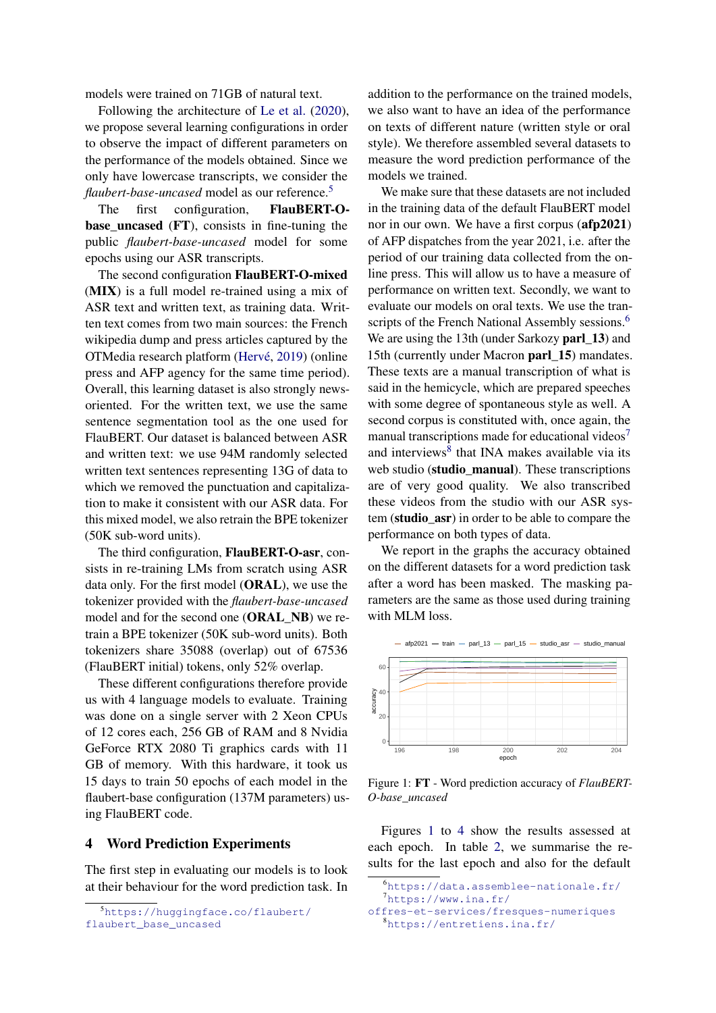models were trained on 71GB of natural text.

Following the architecture of [Le et al.](#page-8-15) [\(2020\)](#page-8-15), we propose several learning configurations in order to observe the impact of different parameters on the performance of the models obtained. Since we only have lowercase transcripts, we consider the *flaubert-base-uncased* model as our reference.[5](#page-2-0)

The first configuration, FlauBERT-O**base** uncased  $(FT)$ , consists in fine-tuning the public *flaubert-base-uncased* model for some epochs using our ASR transcripts.

The second configuration FlauBERT-O-mixed (MIX) is a full model re-trained using a mix of ASR text and written text, as training data. Written text comes from two main sources: the French wikipedia dump and press articles captured by the OTMedia research platform [\(Hervé,](#page-8-17) [2019\)](#page-8-17) (online press and AFP agency for the same time period). Overall, this learning dataset is also strongly newsoriented. For the written text, we use the same sentence segmentation tool as the one used for FlauBERT. Our dataset is balanced between ASR and written text: we use 94M randomly selected written text sentences representing 13G of data to which we removed the punctuation and capitalization to make it consistent with our ASR data. For this mixed model, we also retrain the BPE tokenizer (50K sub-word units).

The third configuration, FlauBERT-O-asr, consists in re-training LMs from scratch using ASR data only. For the first model (ORAL), we use the tokenizer provided with the *flaubert-base-uncased* model and for the second one (ORAL\_NB) we retrain a BPE tokenizer (50K sub-word units). Both tokenizers share 35088 (overlap) out of 67536 (FlauBERT initial) tokens, only 52% overlap.

These different configurations therefore provide us with 4 language models to evaluate. Training was done on a single server with 2 Xeon CPUs of 12 cores each, 256 GB of RAM and 8 Nvidia GeForce RTX 2080 Ti graphics cards with 11 GB of memory. With this hardware, it took us 15 days to train 50 epochs of each model in the flaubert-base configuration (137M parameters) using FlauBERT code.

### 4 Word Prediction Experiments

The first step in evaluating our models is to look at their behaviour for the word prediction task. In

<span id="page-2-0"></span><sup>5</sup>[https://huggingface.co/flaubert/](https://huggingface.co/flaubert/flaubert_base_uncased) [flaubert\\_base\\_uncased](https://huggingface.co/flaubert/flaubert_base_uncased)

addition to the performance on the trained models, we also want to have an idea of the performance on texts of different nature (written style or oral style). We therefore assembled several datasets to measure the word prediction performance of the models we trained.

We make sure that these datasets are not included in the training data of the default FlauBERT model nor in our own. We have a first corpus (afp2021) of AFP dispatches from the year 2021, i.e. after the period of our training data collected from the online press. This will allow us to have a measure of performance on written text. Secondly, we want to evaluate our models on oral texts. We use the tran-scripts of the French National Assembly sessions.<sup>[6](#page-2-1)</sup> We are using the 13th (under Sarkozy **parl\_13**) and 15th (currently under Macron parl\_15) mandates. These texts are a manual transcription of what is said in the hemicycle, which are prepared speeches with some degree of spontaneous style as well. A second corpus is constituted with, once again, the manual transcriptions made for educational videos<sup>[7](#page-2-2)</sup> and interviews<sup>[8](#page-2-3)</sup> that INA makes available via its web studio (studio manual). These transcriptions are of very good quality. We also transcribed these videos from the studio with our ASR system (studio\_asr) in order to be able to compare the performance on both types of data.

We report in the graphs the accuracy obtained on the different datasets for a word prediction task after a word has been masked. The masking parameters are the same as those used during training with MLM loss.

<span id="page-2-4"></span>

Figure 1: FT - Word prediction accuracy of *FlauBERT-O-base\_uncased*

Figures [1](#page-2-4) to [4](#page-3-0) show the results assessed at each epoch. In table [2,](#page-3-1) we summarise the results for the last epoch and also for the default

```
6https://data.assemblee-nationale.fr/
```

```
7https://www.ina.fr/
```
<span id="page-2-3"></span>[offres-et-services/fresques-numeriques](https://www.ina.fr/offres-et-services/fresques-numeriques) <sup>8</sup><https://entretiens.ina.fr/>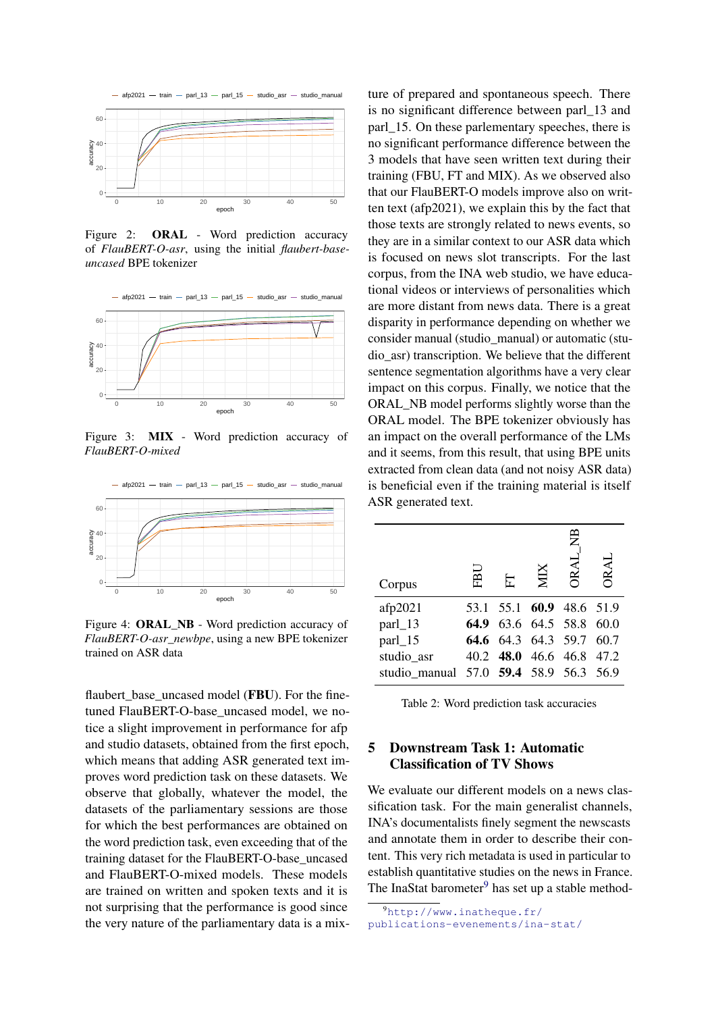

Figure 2: ORAL - Word prediction accuracy of *FlauBERT-O-asr*, using the initial *flaubert-baseuncased* BPE tokenizer



Figure 3: MIX - Word prediction accuracy of *FlauBERT-O-mixed*

<span id="page-3-0"></span>

Figure 4: ORAL\_NB - Word prediction accuracy of *FlauBERT-O-asr\_newbpe*, using a new BPE tokenizer trained on ASR data

flaubert base uncased model (FBU). For the finetuned FlauBERT-O-base uncased model, we notice a slight improvement in performance for afp and studio datasets, obtained from the first epoch, which means that adding ASR generated text improves word prediction task on these datasets. We observe that globally, whatever the model, the datasets of the parliamentary sessions are those for which the best performances are obtained on the word prediction task, even exceeding that of the training dataset for the FlauBERT-O-base\_uncased and FlauBERT-O-mixed models. These models are trained on written and spoken texts and it is not surprising that the performance is good since the very nature of the parliamentary data is a mixture of prepared and spontaneous speech. There is no significant difference between parl\_13 and parl\_15. On these parlementary speeches, there is no significant performance difference between the 3 models that have seen written text during their training (FBU, FT and MIX). As we observed also that our FlauBERT-O models improve also on written text (afp2021), we explain this by the fact that those texts are strongly related to news events, so they are in a similar context to our ASR data which is focused on news slot transcripts. For the last corpus, from the INA web studio, we have educational videos or interviews of personalities which are more distant from news data. There is a great disparity in performance depending on whether we consider manual (studio\_manual) or automatic (studio\_asr) transcription. We believe that the different sentence segmentation algorithms have a very clear impact on this corpus. Finally, we notice that the ORAL\_NB model performs slightly worse than the ORAL model. The BPE tokenizer obviously has an impact on the overall performance of the LMs and it seems, from this result, that using BPE units extracted from clean data (and not noisy ASR data) is beneficial even if the training material is itself ASR generated text.

<span id="page-3-1"></span>

|                                        |      |  | 巴                        |      |
|----------------------------------------|------|--|--------------------------|------|
| Corpus                                 | ΕĀ   |  | ORAL                     | ORAL |
| afp2021                                | 53.1 |  | 55.1 60.9 48.6 51.9      |      |
| parl_13                                |      |  | 64.9 63.6 64.5 58.8      | 60.0 |
| parl_15                                |      |  | 64.6 64.3 64.3 59.7 60.7 |      |
| studio_asr                             |      |  | 40.2 48.0 46.6 46.8 47.2 |      |
| studio manual 57.0 59.4 58.9 56.3 56.9 |      |  |                          |      |

Table 2: Word prediction task accuracies

# 5 Downstream Task 1: Automatic Classification of TV Shows

We evaluate our different models on a news classification task. For the main generalist channels, INA's documentalists finely segment the newscasts and annotate them in order to describe their content. This very rich metadata is used in particular to establish quantitative studies on the news in France. The InaStat barometer $9$  has set up a stable method-

<span id="page-3-2"></span><sup>9</sup>[http://www.inatheque.fr/](http://www.inatheque.fr/publications-evenements/ina-stat/ina-stat-sommaire.html) [publications-evenements/ina-stat/](http://www.inatheque.fr/publications-evenements/ina-stat/ina-stat-sommaire.html)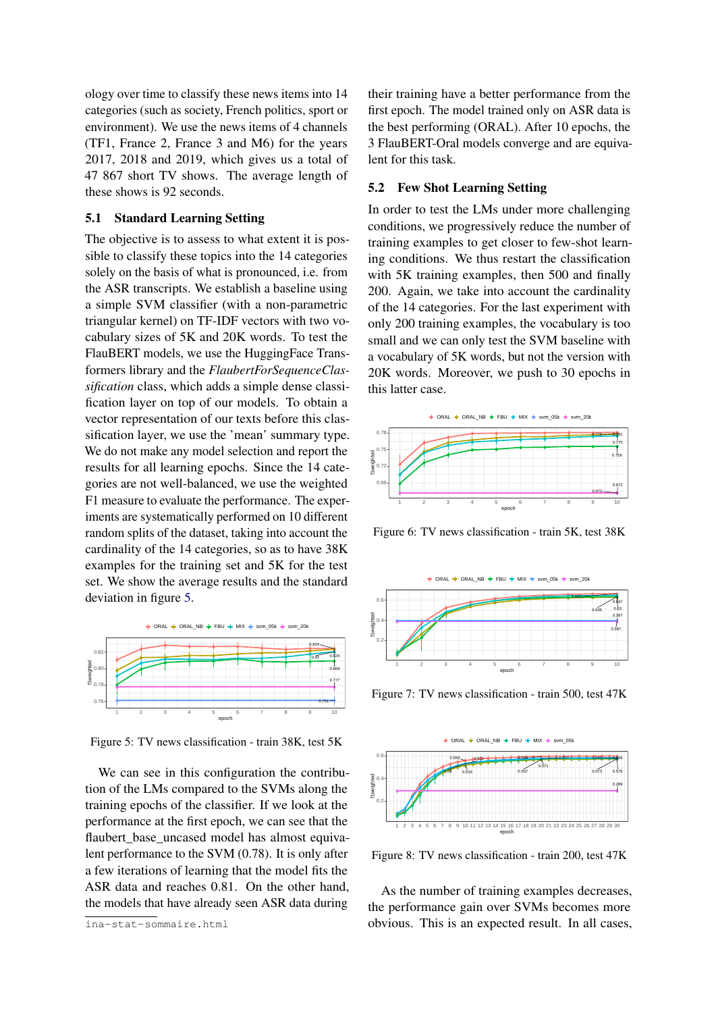[ology over time to classify these news items into 14](http://www.inatheque.fr/publications-evenements/ina-stat/ina-stat-sommaire.html) [categories \(such as society, French politics, sport or](http://www.inatheque.fr/publications-evenements/ina-stat/ina-stat-sommaire.html) [environment\). We use the news items of 4 channels](http://www.inatheque.fr/publications-evenements/ina-stat/ina-stat-sommaire.html) [\(TF1, France 2, France 3 and M6\) for the years](http://www.inatheque.fr/publications-evenements/ina-stat/ina-stat-sommaire.html) [2017, 2018 and 2019, which gives us a total of](http://www.inatheque.fr/publications-evenements/ina-stat/ina-stat-sommaire.html) [47 867 short TV shows. The average length of](http://www.inatheque.fr/publications-evenements/ina-stat/ina-stat-sommaire.html) [these shows is 92 seconds.](http://www.inatheque.fr/publications-evenements/ina-stat/ina-stat-sommaire.html)

## [5.1 Standard Learning Setting](http://www.inatheque.fr/publications-evenements/ina-stat/ina-stat-sommaire.html)

[The objective is to assess to what extent it is pos](http://www.inatheque.fr/publications-evenements/ina-stat/ina-stat-sommaire.html)[sible to classify these topics into the 14 categories](http://www.inatheque.fr/publications-evenements/ina-stat/ina-stat-sommaire.html) [solely on the basis of what is pronounced, i.e. from](http://www.inatheque.fr/publications-evenements/ina-stat/ina-stat-sommaire.html) [the ASR transcripts. We establish a baseline using](http://www.inatheque.fr/publications-evenements/ina-stat/ina-stat-sommaire.html) [a simple SVM classifier \(with a non-parametric](http://www.inatheque.fr/publications-evenements/ina-stat/ina-stat-sommaire.html) [triangular kernel\) on TF-IDF vectors with two vo](http://www.inatheque.fr/publications-evenements/ina-stat/ina-stat-sommaire.html)[cabulary sizes of 5K and 20K words. To test the](http://www.inatheque.fr/publications-evenements/ina-stat/ina-stat-sommaire.html) [FlauBERT models, we use the HuggingFace Trans](http://www.inatheque.fr/publications-evenements/ina-stat/ina-stat-sommaire.html)formers library and the *[FlaubertForSequenceClas](http://www.inatheque.fr/publications-evenements/ina-stat/ina-stat-sommaire.html)sification* [class, which adds a simple dense classi](http://www.inatheque.fr/publications-evenements/ina-stat/ina-stat-sommaire.html)[fication layer on top of our models. To obtain a](http://www.inatheque.fr/publications-evenements/ina-stat/ina-stat-sommaire.html) [vector representation of our texts before this clas](http://www.inatheque.fr/publications-evenements/ina-stat/ina-stat-sommaire.html)[sification layer, we use the 'mean' summary type.](http://www.inatheque.fr/publications-evenements/ina-stat/ina-stat-sommaire.html) [We do not make any model selection and report the](http://www.inatheque.fr/publications-evenements/ina-stat/ina-stat-sommaire.html) [results for all learning epochs. Since the 14 cate](http://www.inatheque.fr/publications-evenements/ina-stat/ina-stat-sommaire.html)[gories are not well-balanced, we use the weighted](http://www.inatheque.fr/publications-evenements/ina-stat/ina-stat-sommaire.html) [F1 measure to evaluate the performance. The exper](http://www.inatheque.fr/publications-evenements/ina-stat/ina-stat-sommaire.html)[iments are systematically performed on 10 different](http://www.inatheque.fr/publications-evenements/ina-stat/ina-stat-sommaire.html) [random splits of the dataset, taking into account the](http://www.inatheque.fr/publications-evenements/ina-stat/ina-stat-sommaire.html) [cardinality of the 14 categories, so as to have 38K](http://www.inatheque.fr/publications-evenements/ina-stat/ina-stat-sommaire.html) [examples for the training set and 5K for the test](http://www.inatheque.fr/publications-evenements/ina-stat/ina-stat-sommaire.html) [set. We show the average results and the standard](http://www.inatheque.fr/publications-evenements/ina-stat/ina-stat-sommaire.html) [deviation in figure](http://www.inatheque.fr/publications-evenements/ina-stat/ina-stat-sommaire.html) [5.](#page-4-0)

<span id="page-4-0"></span>

Figure 5: TV news classification - train 38K, test 5K

[We can see in this configuration the contribu](http://www.inatheque.fr/publications-evenements/ina-stat/ina-stat-sommaire.html)[tion of the LMs compared to the SVMs along the](http://www.inatheque.fr/publications-evenements/ina-stat/ina-stat-sommaire.html) [training epochs of the classifier. If we look at the](http://www.inatheque.fr/publications-evenements/ina-stat/ina-stat-sommaire.html) [performance at the first epoch, we can see that the](http://www.inatheque.fr/publications-evenements/ina-stat/ina-stat-sommaire.html) flaubert base uncased model has almost equiva[lent performance to the SVM \(0.78\). It is only after](http://www.inatheque.fr/publications-evenements/ina-stat/ina-stat-sommaire.html) [a few iterations of learning that the model fits the](http://www.inatheque.fr/publications-evenements/ina-stat/ina-stat-sommaire.html) [ASR data and reaches 0.81. On the other hand,](http://www.inatheque.fr/publications-evenements/ina-stat/ina-stat-sommaire.html) [the models that have already seen ASR data during](http://www.inatheque.fr/publications-evenements/ina-stat/ina-stat-sommaire.html)

[ina-stat-sommaire.html](http://www.inatheque.fr/publications-evenements/ina-stat/ina-stat-sommaire.html)

their training have a better performance from the first epoch. The model trained only on ASR data is the best performing (ORAL). After 10 epochs, the 3 FlauBERT-Oral models converge and are equivalent for this task.

#### 5.2 Few Shot Learning Setting

In order to test the LMs under more challenging conditions, we progressively reduce the number of training examples to get closer to few-shot learning conditions. We thus restart the classification with 5K training examples, then 500 and finally 200. Again, we take into account the cardinality of the 14 categories. For the last experiment with only 200 training examples, the vocabulary is too small and we can only test the SVM baseline with a vocabulary of 5K words, but not the version with 20K words. Moreover, we push to 30 epochs in this latter case.



Figure 6: TV news classification - train 5K, test 38K



Figure 7: TV news classification - train 500, test 47K



Figure 8: TV news classification - train 200, test 47K

As the number of training examples decreases, the performance gain over SVMs becomes more obvious. This is an expected result. In all cases,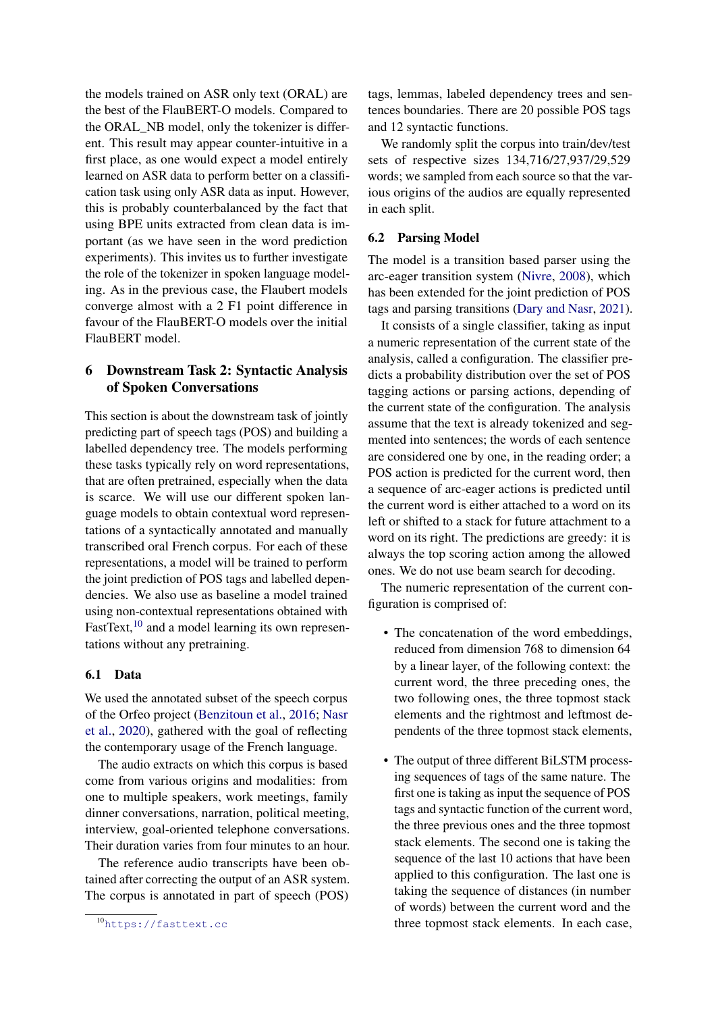the models trained on ASR only text (ORAL) are the best of the FlauBERT-O models. Compared to the ORAL\_NB model, only the tokenizer is different. This result may appear counter-intuitive in a first place, as one would expect a model entirely learned on ASR data to perform better on a classification task using only ASR data as input. However, this is probably counterbalanced by the fact that using BPE units extracted from clean data is important (as we have seen in the word prediction experiments). This invites us to further investigate the role of the tokenizer in spoken language modeling. As in the previous case, the Flaubert models converge almost with a 2 F1 point difference in favour of the FlauBERT-O models over the initial FlauBERT model.

# 6 Downstream Task 2: Syntactic Analysis of Spoken Conversations

This section is about the downstream task of jointly predicting part of speech tags (POS) and building a labelled dependency tree. The models performing these tasks typically rely on word representations, that are often pretrained, especially when the data is scarce. We will use our different spoken language models to obtain contextual word representations of a syntactically annotated and manually transcribed oral French corpus. For each of these representations, a model will be trained to perform the joint prediction of POS tags and labelled dependencies. We also use as baseline a model trained using non-contextual representations obtained with FastText,<sup>[10](#page-5-0)</sup> and a model learning its own representations without any pretraining.

### 6.1 Data

We used the annotated subset of the speech corpus of the Orfeo project [\(Benzitoun et al.,](#page-8-18) [2016;](#page-8-18) [Nasr](#page-8-19) [et al.,](#page-8-19) [2020\)](#page-8-19), gathered with the goal of reflecting the contemporary usage of the French language.

The audio extracts on which this corpus is based come from various origins and modalities: from one to multiple speakers, work meetings, family dinner conversations, narration, political meeting, interview, goal-oriented telephone conversations. Their duration varies from four minutes to an hour.

The reference audio transcripts have been obtained after correcting the output of an ASR system. The corpus is annotated in part of speech (POS) tags, lemmas, labeled dependency trees and sentences boundaries. There are 20 possible POS tags and 12 syntactic functions.

We randomly split the corpus into train/dev/test sets of respective sizes 134,716/27,937/29,529 words; we sampled from each source so that the various origins of the audios are equally represented in each split.

## 6.2 Parsing Model

The model is a transition based parser using the arc-eager transition system [\(Nivre,](#page-8-20) [2008\)](#page-8-20), which has been extended for the joint prediction of POS tags and parsing transitions [\(Dary and Nasr,](#page-8-21) [2021\)](#page-8-21).

It consists of a single classifier, taking as input a numeric representation of the current state of the analysis, called a configuration. The classifier predicts a probability distribution over the set of POS tagging actions or parsing actions, depending of the current state of the configuration. The analysis assume that the text is already tokenized and segmented into sentences; the words of each sentence are considered one by one, in the reading order; a POS action is predicted for the current word, then a sequence of arc-eager actions is predicted until the current word is either attached to a word on its left or shifted to a stack for future attachment to a word on its right. The predictions are greedy: it is always the top scoring action among the allowed ones. We do not use beam search for decoding.

The numeric representation of the current configuration is comprised of:

- The concatenation of the word embeddings, reduced from dimension 768 to dimension 64 by a linear layer, of the following context: the current word, the three preceding ones, the two following ones, the three topmost stack elements and the rightmost and leftmost dependents of the three topmost stack elements,
- The output of three different BiLSTM processing sequences of tags of the same nature. The first one is taking as input the sequence of POS tags and syntactic function of the current word, the three previous ones and the three topmost stack elements. The second one is taking the sequence of the last 10 actions that have been applied to this configuration. The last one is taking the sequence of distances (in number of words) between the current word and the three topmost stack elements. In each case,

<span id="page-5-0"></span><sup>10</sup><https://fasttext.cc>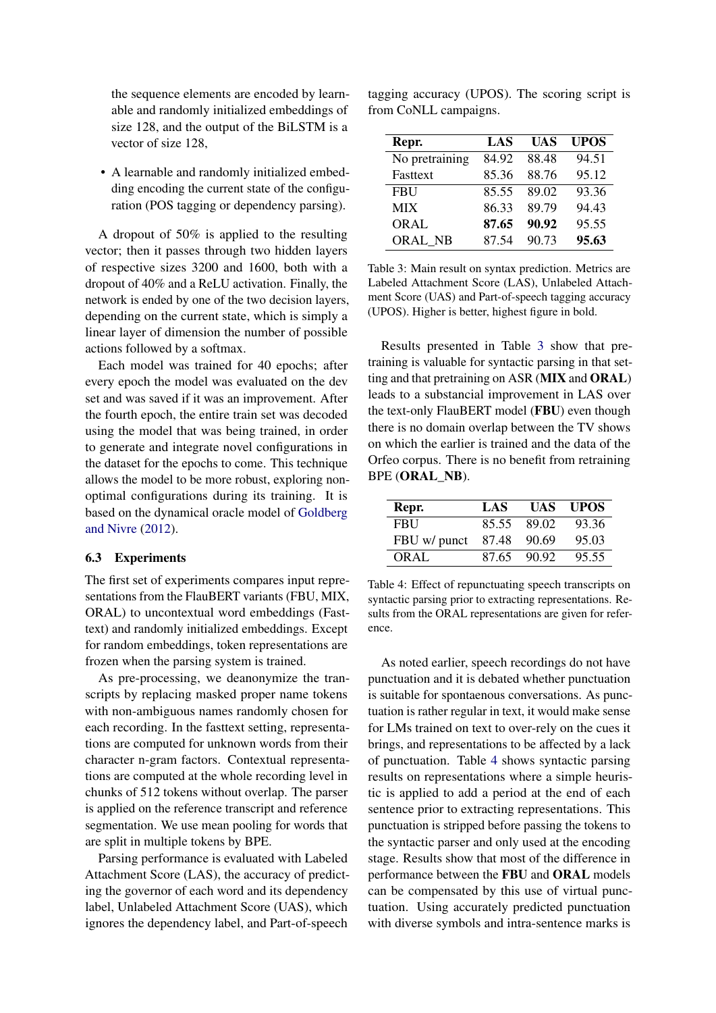the sequence elements are encoded by learnable and randomly initialized embeddings of size 128, and the output of the BiLSTM is a vector of size 128,

• A learnable and randomly initialized embedding encoding the current state of the configuration (POS tagging or dependency parsing).

A dropout of 50% is applied to the resulting vector; then it passes through two hidden layers of respective sizes 3200 and 1600, both with a dropout of 40% and a ReLU activation. Finally, the network is ended by one of the two decision layers, depending on the current state, which is simply a linear layer of dimension the number of possible actions followed by a softmax.

Each model was trained for 40 epochs; after every epoch the model was evaluated on the dev set and was saved if it was an improvement. After the fourth epoch, the entire train set was decoded using the model that was being trained, in order to generate and integrate novel configurations in the dataset for the epochs to come. This technique allows the model to be more robust, exploring nonoptimal configurations during its training. It is based on the dynamical oracle model of [Goldberg](#page-8-22) [and Nivre](#page-8-22) [\(2012\)](#page-8-22).

### 6.3 Experiments

The first set of experiments compares input representations from the FlauBERT variants (FBU, MIX, ORAL) to uncontextual word embeddings (Fasttext) and randomly initialized embeddings. Except for random embeddings, token representations are frozen when the parsing system is trained.

As pre-processing, we deanonymize the transcripts by replacing masked proper name tokens with non-ambiguous names randomly chosen for each recording. In the fasttext setting, representations are computed for unknown words from their character n-gram factors. Contextual representations are computed at the whole recording level in chunks of 512 tokens without overlap. The parser is applied on the reference transcript and reference segmentation. We use mean pooling for words that are split in multiple tokens by BPE.

Parsing performance is evaluated with Labeled Attachment Score (LAS), the accuracy of predicting the governor of each word and its dependency label, Unlabeled Attachment Score (UAS), which ignores the dependency label, and Part-of-speech

tagging accuracy (UPOS). The scoring script is from CoNLL campaigns.

<span id="page-6-0"></span>

| Repr.          | LAS   | <b>UAS</b> | <b>UPOS</b> |
|----------------|-------|------------|-------------|
| No pretraining | 84.92 | 88.48      | 94.51       |
| Fasttext       | 85.36 | 88.76      | 95.12       |
| <b>FBU</b>     | 85.55 | 89.02      | 93.36       |
| <b>MIX</b>     | 86.33 | 89.79      | 94.43       |
| ORAL           | 87.65 | 90.92      | 95.55       |
| <b>ORAL NB</b> | 87.54 | 90.73      | 95.63       |

Table 3: Main result on syntax prediction. Metrics are Labeled Attachment Score (LAS), Unlabeled Attachment Score (UAS) and Part-of-speech tagging accuracy (UPOS). Higher is better, highest figure in bold.

Results presented in Table [3](#page-6-0) show that pretraining is valuable for syntactic parsing in that setting and that pretraining on ASR (MIX and ORAL) leads to a substancial improvement in LAS over the text-only FlauBERT model (FBU) even though there is no domain overlap between the TV shows on which the earlier is trained and the data of the Orfeo corpus. There is no benefit from retraining BPE (ORAL\_NB).

<span id="page-6-1"></span>

| Repr.        | LAS   | <b>UAS</b> | <b>UPOS</b> |
|--------------|-------|------------|-------------|
| <b>FBU</b>   | 85.55 | 89.02      | 93.36       |
| FBU w/ punct | 87.48 | -90.69     | 95.03       |
| ORAL         | 87.65 | -90.92     | 95.55       |

Table 4: Effect of repunctuating speech transcripts on syntactic parsing prior to extracting representations. Results from the ORAL representations are given for reference.

As noted earlier, speech recordings do not have punctuation and it is debated whether punctuation is suitable for spontaenous conversations. As punctuation is rather regular in text, it would make sense for LMs trained on text to over-rely on the cues it brings, and representations to be affected by a lack of punctuation. Table [4](#page-6-1) shows syntactic parsing results on representations where a simple heuristic is applied to add a period at the end of each sentence prior to extracting representations. This punctuation is stripped before passing the tokens to the syntactic parser and only used at the encoding stage. Results show that most of the difference in performance between the FBU and ORAL models can be compensated by this use of virtual punctuation. Using accurately predicted punctuation with diverse symbols and intra-sentence marks is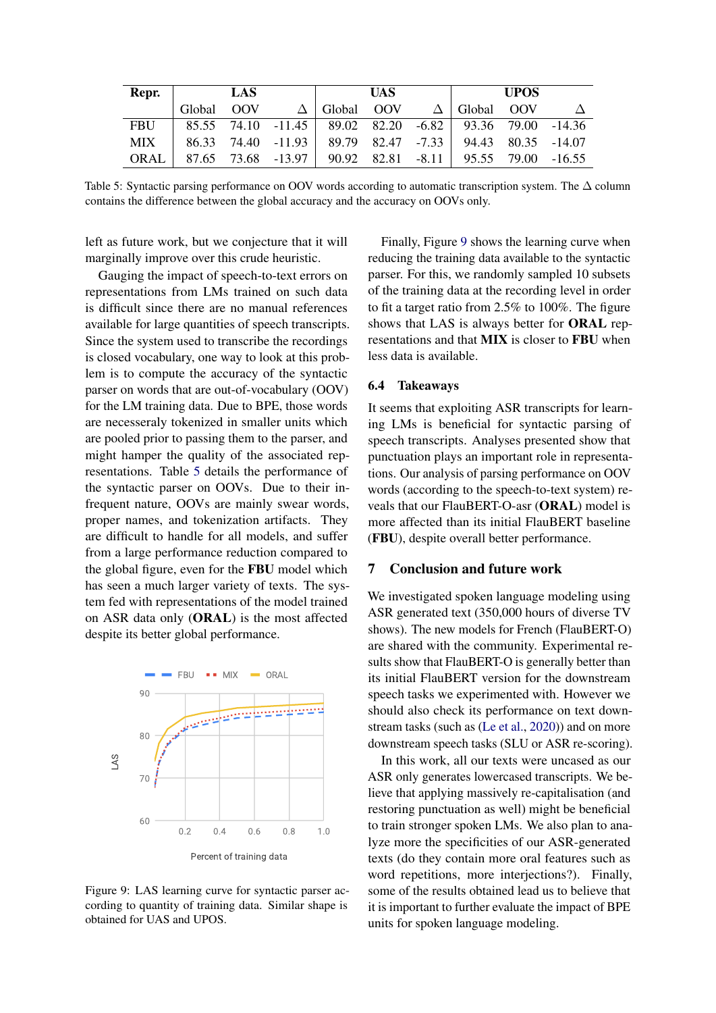<span id="page-7-0"></span>

| Repr.      | LAS.                                                               |  |  | <b>UAS</b>                                              |  | <b>UPOS</b> |  |  |
|------------|--------------------------------------------------------------------|--|--|---------------------------------------------------------|--|-------------|--|--|
|            |                                                                    |  |  | Global OOV $\Delta$ Global OOV $\Delta$ Global OOV      |  |             |  |  |
| <b>FBU</b> |                                                                    |  |  | 85.55 74.10 -11.45 89.02 82.20 -6.82 93.36 79.00 -14.36 |  |             |  |  |
| <b>MIX</b> | $\vert$ 86.33 74.40 -11.93 89.79 82.47 -7.33 94.43 80.35 -14.07    |  |  |                                                         |  |             |  |  |
|            | ORAL   87.65 73.68 -13.97   90.92 82.81 -8.11   95.55 79.00 -16.55 |  |  |                                                         |  |             |  |  |

Table 5: Syntactic parsing performance on OOV words according to automatic transcription system. The ∆ column contains the difference between the global accuracy and the accuracy on OOVs only.

left as future work, but we conjecture that it will marginally improve over this crude heuristic.

Gauging the impact of speech-to-text errors on representations from LMs trained on such data is difficult since there are no manual references available for large quantities of speech transcripts. Since the system used to transcribe the recordings is closed vocabulary, one way to look at this problem is to compute the accuracy of the syntactic parser on words that are out-of-vocabulary (OOV) for the LM training data. Due to BPE, those words are necesseraly tokenized in smaller units which are pooled prior to passing them to the parser, and might hamper the quality of the associated representations. Table [5](#page-7-0) details the performance of the syntactic parser on OOVs. Due to their infrequent nature, OOVs are mainly swear words, proper names, and tokenization artifacts. They are difficult to handle for all models, and suffer from a large performance reduction compared to the global figure, even for the FBU model which has seen a much larger variety of texts. The system fed with representations of the model trained on ASR data only (ORAL) is the most affected despite its better global performance.

<span id="page-7-1"></span>

Figure 9: LAS learning curve for syntactic parser according to quantity of training data. Similar shape is obtained for UAS and UPOS.

Finally, Figure [9](#page-7-1) shows the learning curve when reducing the training data available to the syntactic parser. For this, we randomly sampled 10 subsets of the training data at the recording level in order to fit a target ratio from 2.5% to 100%. The figure shows that LAS is always better for ORAL representations and that MIX is closer to FBU when less data is available.

#### 6.4 Takeaways

It seems that exploiting ASR transcripts for learning LMs is beneficial for syntactic parsing of speech transcripts. Analyses presented show that punctuation plays an important role in representations. Our analysis of parsing performance on OOV words (according to the speech-to-text system) reveals that our FlauBERT-O-asr (ORAL) model is more affected than its initial FlauBERT baseline (FBU), despite overall better performance.

#### 7 Conclusion and future work

We investigated spoken language modeling using ASR generated text (350,000 hours of diverse TV shows). The new models for French (FlauBERT-O) are shared with the community. Experimental results show that FlauBERT-O is generally better than its initial FlauBERT version for the downstream speech tasks we experimented with. However we should also check its performance on text downstream tasks (such as [\(Le et al.,](#page-8-15) [2020\)](#page-8-15)) and on more downstream speech tasks (SLU or ASR re-scoring).

In this work, all our texts were uncased as our ASR only generates lowercased transcripts. We believe that applying massively re-capitalisation (and restoring punctuation as well) might be beneficial to train stronger spoken LMs. We also plan to analyze more the specificities of our ASR-generated texts (do they contain more oral features such as word repetitions, more interjections?). Finally, some of the results obtained lead us to believe that it is important to further evaluate the impact of BPE units for spoken language modeling.